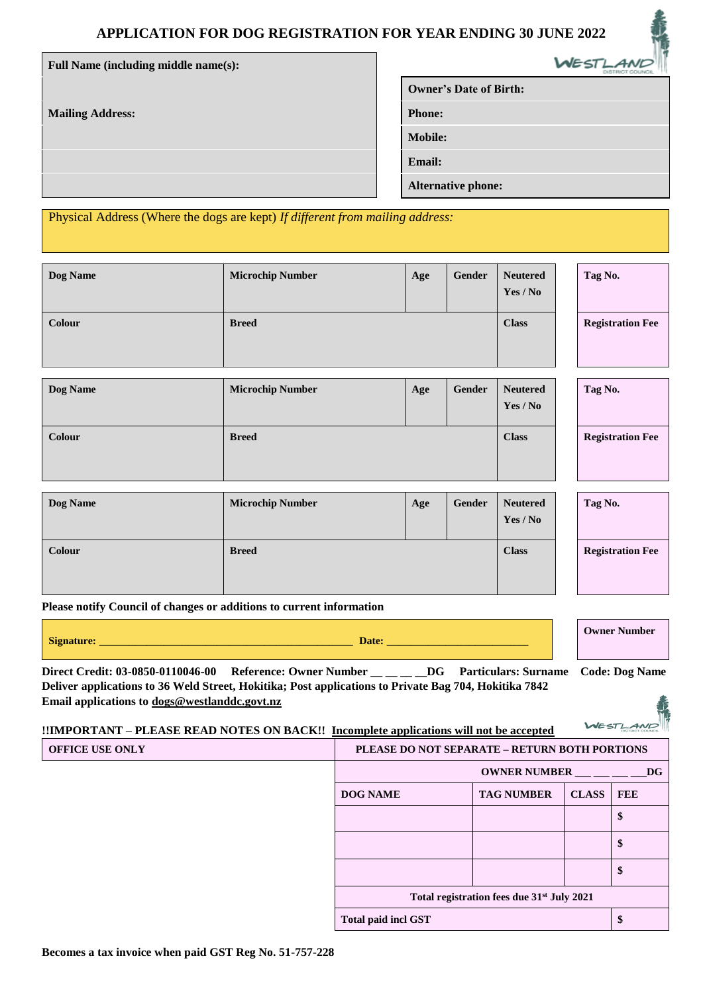# **APPLICATION FOR DOG REGISTRATION FOR YEAR ENDING 30 JUNE 2022**

| Full Name (including middle name(s):                                          | WESTLAND                      |
|-------------------------------------------------------------------------------|-------------------------------|
|                                                                               | <b>Owner's Date of Birth:</b> |
| <b>Mailing Address:</b>                                                       | <b>Phone:</b>                 |
|                                                                               | <b>Mobile:</b>                |
|                                                                               | <b>Email:</b>                 |
|                                                                               | <b>Alternative phone:</b>     |
| Physical Address (Where the dogs are kept) If different from mailing address: |                               |

**Dog Name Microchip Number Age Age Gender Neutered Yes / No Tag No. Colour Breed Registration Fee** 

| Dog Name | <b>Microchip Number</b> | Age | Gender | <b>Neutered</b><br>Yes / No | Tag No.                 |
|----------|-------------------------|-----|--------|-----------------------------|-------------------------|
| Colour   | <b>Breed</b>            |     |        | <b>Class</b>                | <b>Registration Fee</b> |

| Dog Name | <b>Microchip Number</b> | Age | Gender | <b>Neutered</b><br>Yes / No | Tag No.                 |
|----------|-------------------------|-----|--------|-----------------------------|-------------------------|
| Colour   | <b>Breed</b>            |     |        | <b>Class</b>                | <b>Registration Fee</b> |

**Please notify Council of changes or additions to current information**

| $\sim$<br>van<br>____<br>___ | <b>NETTO OF</b><br>er<br>. |
|------------------------------|----------------------------|
|------------------------------|----------------------------|

**Direct Credit: 03-0850-0110046-00 Reference: Owner Number \_\_ \_\_ \_\_ \_\_DG Particulars: Surname Code: Dog Name Deliver applications to 36 Weld Street, Hokitika; Post applications to Private Bag 704, Hokitika 7842 Email applications to [dogs@westlanddc.govt.nz](mailto:dogs@westlanddc.govt.nz)**

# **!!IMPORTANT – PLEASE READ NOTES ON BACK!! Incomplete applications will not be accepted**

| <b>OFFICE USE ONLY</b> | PLEASE DO NOT SEPARATE - RETURN BOTH PORTIONS          |                     |              |            |  |
|------------------------|--------------------------------------------------------|---------------------|--------------|------------|--|
|                        |                                                        | <b>OWNER NUMBER</b> |              |            |  |
|                        | <b>DOG NAME</b>                                        | <b>TAG NUMBER</b>   | <b>CLASS</b> | <b>FEE</b> |  |
|                        |                                                        |                     |              | \$         |  |
|                        |                                                        |                     |              | D          |  |
|                        |                                                        |                     |              | D          |  |
|                        | Total registration fees due 31 <sup>st</sup> July 2021 |                     |              |            |  |
|                        | <b>Total paid incl GST</b>                             |                     |              |            |  |

WEST